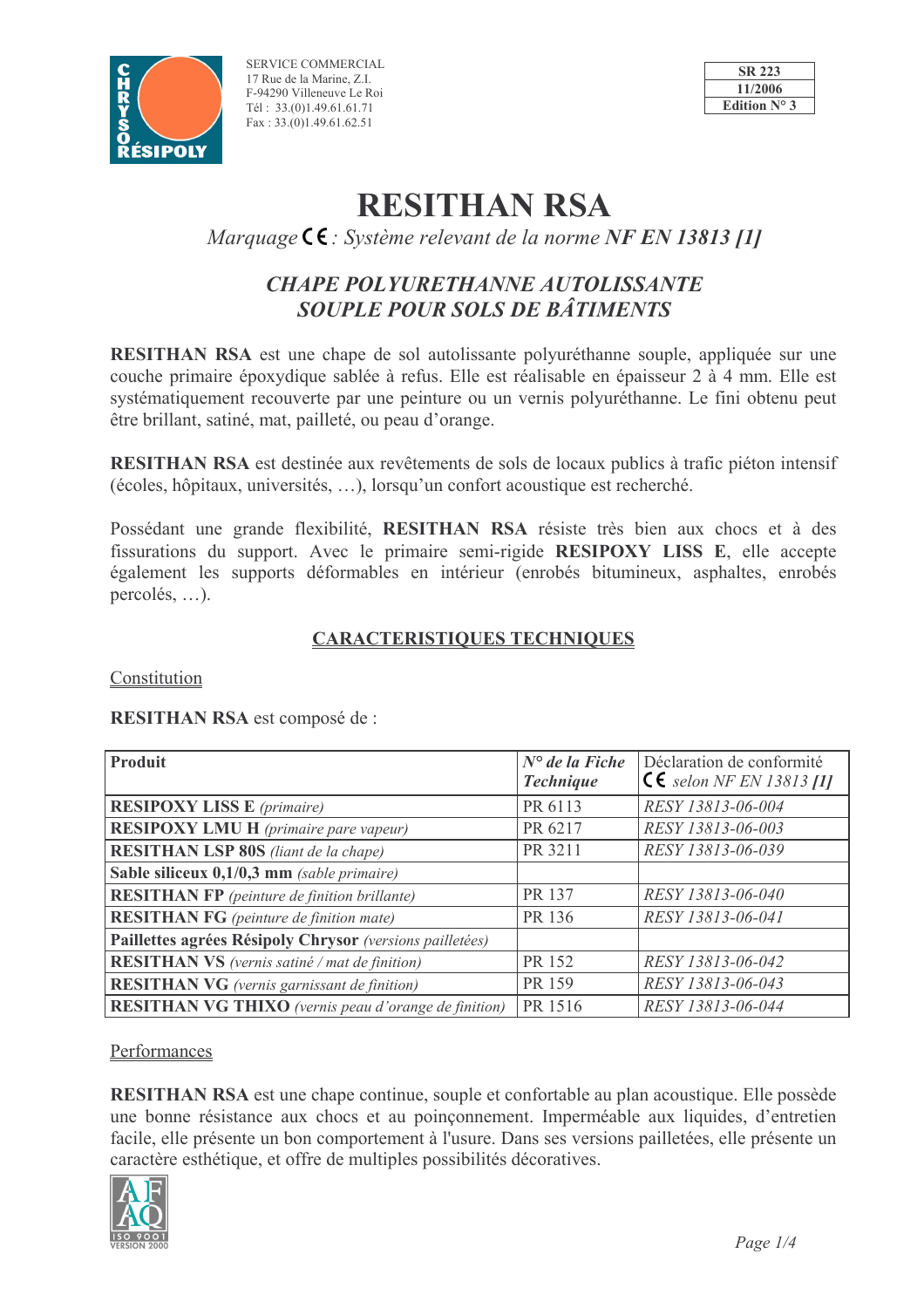

SERVICE COMMERCIAL 17 Rue de la Marine, Z.I. F-94290 Villeneuve Le Roi Tél: 33.(0)1.49.61.61.71 Fax:  $33.(0)1.49.61.62.51$ 



# **RESITHAN RSA**

Marquage  $\zeta \in S$  : Système relevant de la norme NF EN 13813 [1]

## **CHAPE POLYURETHANNE AUTOLISSANTE SOUPLE POUR SOLS DE BÂTIMENTS**

RESITHAN RSA est une chape de sol autolissante polyuréthanne souple, appliquée sur une couche primaire époxydique sablée à refus. Elle est réalisable en épaisseur 2 à 4 mm. Elle est systématiquement recouverte par une peinture ou un vernis polyuréthanne. Le fini obtenu peut être brillant, satiné, mat, pailleté, ou peau d'orange.

**RESITHAN RSA** est destinée aux revêtements de sols de locaux publics à trafic piéton intensif (écoles, hôpitaux, universités, ...), lorsqu'un confort acoustique est recherché.

Possédant une grande flexibilité, RESITHAN RSA résiste très bien aux chocs et à des fissurations du support. Avec le primaire semi-rigide RESIPOXY LISS E, elle accepte également les supports déformables en intérieur (enrobés bitumineux, asphaltes, enrobés  $percolés, \ldots$ ).

### **CARACTERISTIQUES TECHNIQUES**

Constitution

RESITHAN RSA est composé de :

| <b>Produit</b>                                              | $N^{\circ}$ de la Fiche | Déclaration de conformité           |  |  |
|-------------------------------------------------------------|-------------------------|-------------------------------------|--|--|
|                                                             | <b>Technique</b>        | $\mathsf{CE}$ selon NF EN 13813 [1] |  |  |
| <b>RESIPOXY LISS E</b> (primaire)                           | PR 6113                 | RESY 13813-06-004                   |  |  |
| <b>RESIPOXY LMU H</b> (primaire pare vapeur)                | PR 6217                 | RESY 13813-06-003                   |  |  |
| <b>RESITHAN LSP 80S</b> (liant de la chape)                 | PR 3211                 | RESY 13813-06-039                   |  |  |
| Sable siliceux 0,1/0,3 mm (sable primaire)                  |                         |                                     |  |  |
| <b>RESITHAN FP</b> (peinture de finition brillante)         | PR 137                  | RESY 13813-06-040                   |  |  |
| <b>RESITHAN FG</b> (peinture de finition mate)              | PR 136                  | RESY 13813-06-041                   |  |  |
| Paillettes agrées Résipoly Chrysor (versions pailletées)    |                         |                                     |  |  |
| <b>RESITHAN VS</b> (vernis satiné / mat de finition)        | PR 152                  | RESY 13813-06-042                   |  |  |
| <b>RESITHAN VG</b> (vernis garnissant de finition)          | PR 159                  | RESY 13813-06-043                   |  |  |
| <b>RESITHAN VG THIXO</b> (vernis peau d'orange de finition) | PR 1516                 | RESY 13813-06-044                   |  |  |

Performances

**RESITHAN RSA** est une chape continue, souple et confortable au plan acoustique. Elle possède une bonne résistance aux chocs et au poinconnement. Imperméable aux liquides, d'entretien facile, elle présente un bon comportement à l'usure. Dans ses versions pailletées, elle présente un caractère esthétique, et offre de multiples possibilités décoratives.

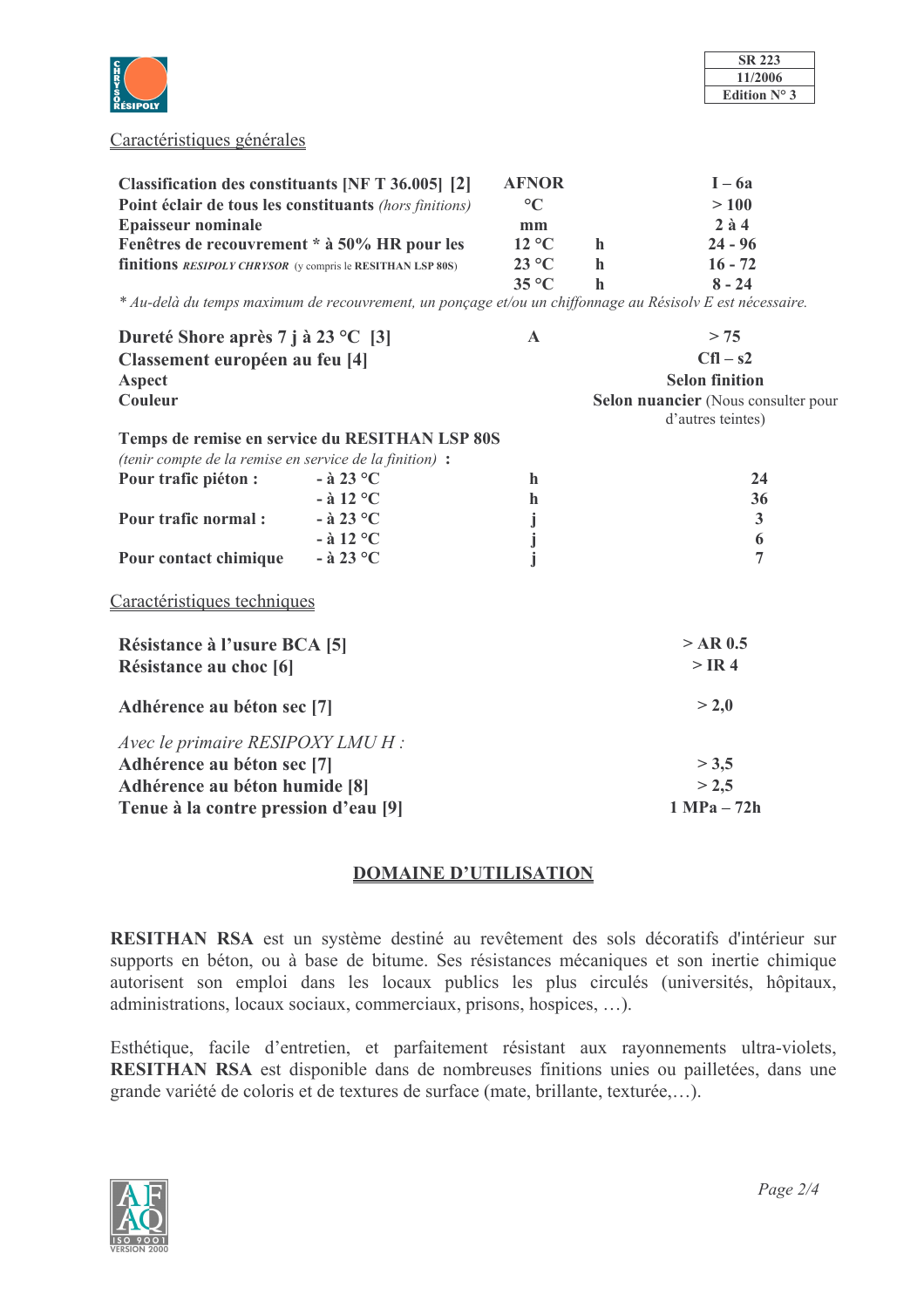

| <b>SR 223</b> |  |  |
|---------------|--|--|
| 11/2006       |  |  |
| Edition N°    |  |  |

#### Caractéristiques générales

| Classification des constituants [NF T 36.005] [2]                        | <b>AFNOR</b>           |   | $I - 6a$    |
|--------------------------------------------------------------------------|------------------------|---|-------------|
| Point éclair de tous les constituants (hors finitions)                   | $\rm ^{\circ}C$        |   | >100        |
| <b>Epaisseur nominale</b>                                                | mm                     |   | $2 \n{a} 4$ |
| Fenêtres de recouvrement * à 50% HR pour les                             | $12 \text{ }^{\circ}C$ | h | $24 - 96$   |
| <b>finitions</b> <i>RESIPOLY CHRYSOR</i> (y compris le RESITHAN LSP 80S) | $23 \text{°C}$         | h | $16 - 72$   |
|                                                                          | $35^{\circ}$ C         |   | $8 - 24$    |

\* Au-delà du temps maximum de recouvrement, un ponçage et/ou un chiffonnage au Résisolv E est nécessaire.

| $\mathbf{A}$               | > 75                                                     |
|----------------------------|----------------------------------------------------------|
|                            | $Cfl - s2$                                               |
|                            | <b>Selon finition</b>                                    |
|                            | Selon nuancier (Nous consulter pour<br>d'autres teintes) |
|                            |                                                          |
|                            |                                                          |
| h                          | 24                                                       |
| $\mathbf h$                | 36                                                       |
|                            | $\mathbf{3}$                                             |
|                            | 6                                                        |
|                            | $\overline{7}$                                           |
|                            |                                                          |
|                            | $>$ AR 0.5                                               |
|                            | $>$ IR 4                                                 |
| Adhérence au béton sec [7] |                                                          |
|                            |                                                          |
|                            | > 3,5                                                    |
|                            | > 2,5                                                    |
|                            | $1 MPa - 72h$                                            |
|                            | Temps de remise en service du RESITHAN LSP 80S           |

#### **DOMAINE D'UTILISATION**

RESITHAN RSA est un système destiné au revêtement des sols décoratifs d'intérieur sur supports en béton, ou à base de bitume. Ses résistances mécaniques et son inertie chimique autorisent son emploi dans les locaux publics les plus circulés (universités, hôpitaux, administrations, locaux sociaux, commerciaux, prisons, hospices, ...).

Esthétique, facile d'entretien, et parfaitement résistant aux rayonnements ultra-violets, RESITHAN RSA est disponible dans de nombreuses finitions unies ou pailletées, dans une grande variété de coloris et de textures de surface (mate, brillante, texturée,...).

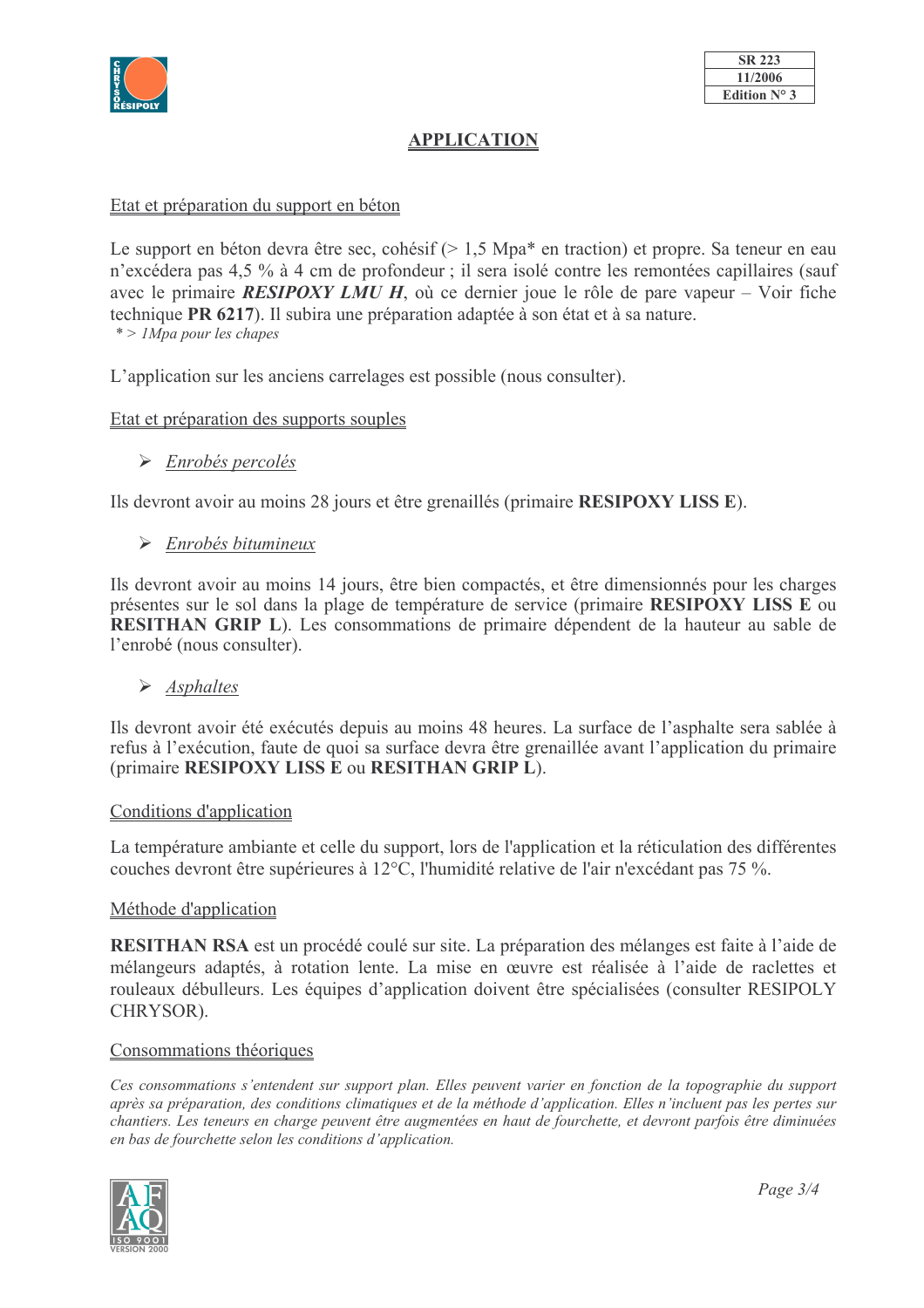

## **APPLICATION**

#### Etat et préparation du support en béton

Le support en béton devra être sec, cohésif (> 1,5 Mpa\* en traction) et propre. Sa teneur en eau n'excédera pas 4,5 % à 4 cm de profondeur ; il sera isolé contre les remontées capillaires (sauf avec le primaire **RESIPOXY LMU H**, où ce dernier joue le rôle de pare vapeur – Voir fiche technique PR 6217). Il subira une préparation adaptée à son état et à sa nature.  $*$  > 1Mpa pour les chapes

L'application sur les anciens carrelages est possible (nous consulter).

#### Etat et préparation des supports souples

 $\triangleright$  Enrobés percolés

Ils devront avoir au moins 28 jours et être grenaillés (primaire RESIPOXY LISS E).

#### $\triangleright$  Enrobés bitumineux

Ils devront avoir au moins 14 jours, être bien compactés, et être dimensionnés pour les charges présentes sur le sol dans la plage de température de service (primaire RESIPOXY LISS E ou RESITHAN GRIP L). Les consommations de primaire dépendent de la hauteur au sable de l'enrobé (nous consulter).

 $\triangleright$  Asphaltes

Ils devront avoir été exécutés depuis au moins 48 heures. La surface de l'asphalte sera sablée à refus à l'exécution, faute de quoi sa surface devra être grenaillée avant l'application du primaire (primaire RESIPOXY LISS E ou RESITHAN GRIP L).

#### Conditions d'application

La température ambiante et celle du support, lors de l'application et la réticulation des différentes couches devront être supérieures à 12°C, l'humidité relative de l'air n'excédant pas 75 %.

#### Méthode d'application

RESITHAN RSA est un procédé coulé sur site. La préparation des mélanges est faite à l'aide de mélangeurs adaptés, à rotation lente. La mise en œuvre est réalisée à l'aide de raclettes et rouleaux débulleurs. Les équipes d'application doivent être spécialisées (consulter RESIPOLY CHRYSOR).

#### Consommations théoriques

Ces consommations s'entendent sur support plan. Elles peuvent varier en fonction de la topographie du support après sa préparation, des conditions climatiques et de la méthode d'application. Elles n'incluent pas les pertes sur chantiers. Les teneurs en charge peuvent être augmentées en haut de fourchette, et devront parfois être diminuées en bas de fourchette selon les conditions d'application.